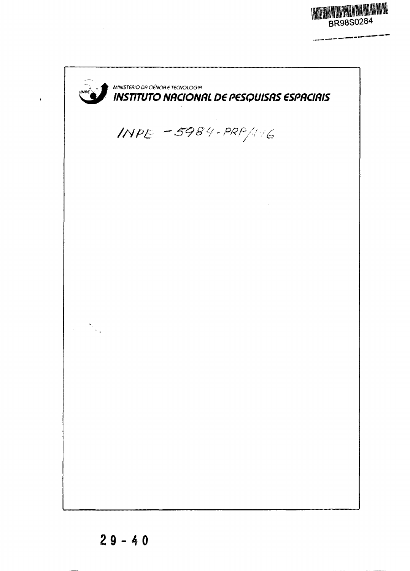. . . .

d Hillst Idrat 1991 199

MINISTERIO DA CIENCIA E TECNOLOGIA **INSTITUTO NnCONRL O€ P€SQUISRS €SPRCIRIS** INPE -5984-PRP/116  $\label{eq:2} \frac{1}{2} \sum_{i=1}^n \frac{1}{2} \sum_{j=1}^n \frac{1}{2} \sum_{j=1}^n \frac{1}{2} \sum_{j=1}^n \frac{1}{2} \sum_{j=1}^n \frac{1}{2} \sum_{j=1}^n \frac{1}{2} \sum_{j=1}^n \frac{1}{2} \sum_{j=1}^n \frac{1}{2} \sum_{j=1}^n \frac{1}{2} \sum_{j=1}^n \frac{1}{2} \sum_{j=1}^n \frac{1}{2} \sum_{j=1}^n \frac{1}{2} \sum_{j=1}^n \frac{1}{$ 

 $\sim 10^{11}$  km

 $\ddot{\phantom{0}}$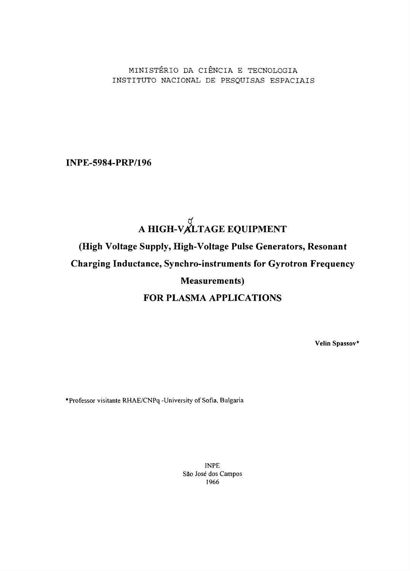MINISTERIO DA CIENCIA E TECNOLOGIA INSTITUTO NACIONAL DE PESQUISAS ESPACIAIS

INPE-5984-PRP/196

# A HIGH-VALTAGE EQUIPMENT (High Voltage Supply, High-Voltage Pulse Generators, Resonant Charging Inductance, Synchro-instruments for Gyrotron Frequency Measurements) FOR PLASMA APPLICATIONS

**Velin Spassov\***

"Professor visitante RHAE/CNPq -University of Sofia, Bulgaria

INPE S3o Jose dos Campos 1966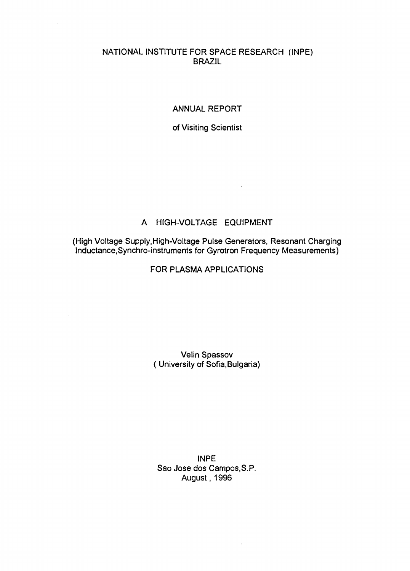# NATIONAL INSTITUTE FOR SPACE RESEARCH (INPE) BRAZIL

## ANNUAL REPORT

of Visiting Scientist

# A HIGH-VOLTAGE EQUIPMENT

 $\ddot{\phantom{1}}$ 

(High Voltage Supply, High-Voltage Pulse Generators, Resonant Charging Inductance, Synchro-instruments for Gyrotron Frequency Measurements)

# FOR PLASMA APPLICATIONS

# Velin Spassov ( University of Sofia,Bulgaria)

## INPE Sao Jose dos Campos.S.P. August, 1996

 $\ddot{\phantom{1}}$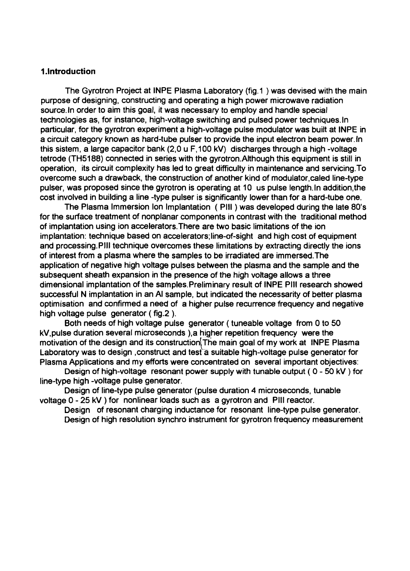#### **1.Introduction**

The Gyrotron Project at INPE Plasma Laboratory (fig.1 ) was devised with the main purpose of designing, constructing and operating a high power microwave radiation source. In order to aim this goal, it was necessary to employ and handle special technologies as, for instance, high-voltage switching and pulsed power techniques. In particular, for the gyrotron experiment a high-voltage pulse modulator was built at INPE in a circuit category known as hard-tube pulser to provide the input electron beam power. In this sistem, a large capacitor bank (2,0 u F.100 kV) discharges through a high -voltage tetrode (TH5188) connected in series with the gyrotron.Although this equipment is still in operation, its circuit complexity has led to great difficulty in maintenance and servicing.To overcome such a drawback, the construction of another kind of modulator,caled line-type pulser, was proposed since the gyrotron is operating at 10 us pulse length. In addition,the cost involved in building a line -type pulser is significantly lower than for a hard-tube one.

The Plasma Immersion Ion Implantation ( PHI) was developed during the late 80's for the surface treatment of nonplanar components in contrast with the traditional method of implantation using ion accelerators.There are two basic limitations of the ion implantation: technique based on accelerators; line-of-sight and high cost of equipment and processing.Pill technique overcomes these limitations by extracting directly the ions of interest from a plasma where the samples to be irradiated are immersed.The application of negative high voltage pulses between the plasma and the sample and the subsequent sheath expansion in the presence of the high voltage allows a three dimensional implantation of the samples.Preliminary result of **INPE Pill** research showed successful N implantation in an Al sample, but indicated the necessarity of better plasma optimisation and confirmed a need of a higher pulse recurrence frequency and negative high voltage pulse generator (fig. 2).

Both needs of high voltage pulse generator (tuneable voltage from 0 to 50 kV,pulse duration several microseconds ),a higher repetition frequency were the motivation of the design and its constructioniThe main goal of my work at **INPE** Plasma Laboratory was to design, construct and test a suitable high-voltage pulse generator for Plasma Applications and my efforts were concentrated on several important objectives:

Design of high-voltage resonant power supply with tunable output ( 0 - 50 kV ) for line-type high -voltage pulse generator.

Design of line-type pulse generator (pulse duration 4 microseconds, tunable voltage 0 - 25 kV) for nonlinear loads such as a gyrotron and Pill reactor.

Design of resonant charging inductance for resonant line-type pulse generator. Design of high resolution synchro instrument for gyrotron frequency measurement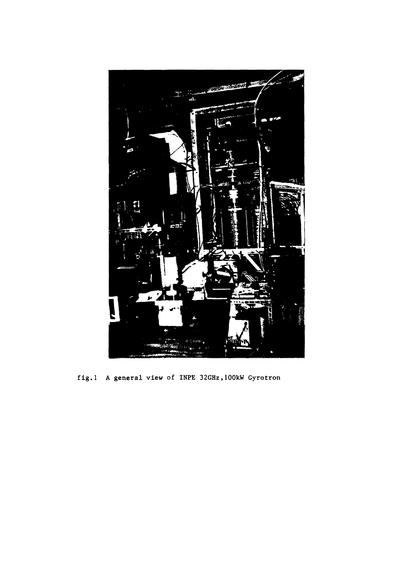

fig.l A general view of INPE 32GHz,100kW Gyrotron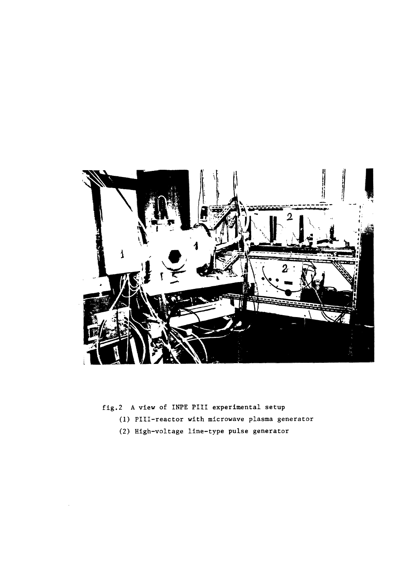

fig.2 A view of INPE PIII experimental setup

- (1) PHI-reactor with microwave plasma generator
- (2) High-voltage line-type pulse generator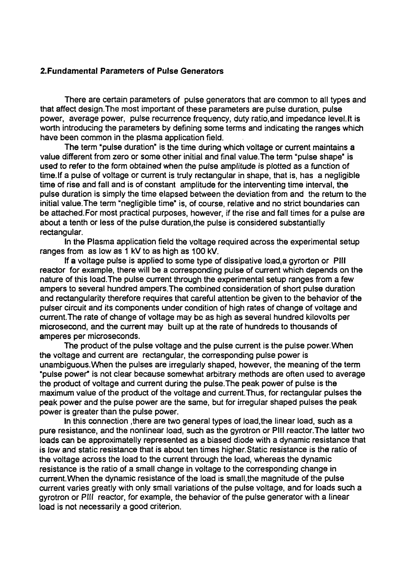#### 2.Fundamental Parameters of Pulse Generators

There are certain parameters of pulse generators that are common to all types and that affect design.The most important of these parameters are pulse duration, pulse power, average power, pulse recurrence frequency, duty ratio.and impedance level.lt is worth introducing the parameters by defining some terms and indicating the ranges which have been common in the plasma application field.

The term "pulse duration" is the time during which voltage or current maintains a value different from zero or some other initial and final value.The term "pulse shape" is used to refer to the form obtained when the pulse amplitude is plotted as a function of time. If a pulse of voltage or current is truly rectangular in shape, that is, has a negligible time of rise and fall and is of constant amplitude for the interventing time interval, the pulse duration is simply the time elapsed between the deviation from and the return to the initial value.The term "negligible time" is, of course, relative and no strict boundaries can be attached. For most practical purposes, however, if the rise and fall times for a pulse are about a tenth or less of the pulse duration,the pulse is considered substantially rectangular.

In the Plasma application field the voltage required across the experimental setup ranges from as low as 1 kV to as high as 100 kV.

If a voltage pulse is applied to some type of dissipative load,a gyrorton or Pill reactor for example, there will be a corresponding pulse of current which depends on the nature of this load.The pulse current through the experimental setup ranges from a few ampers to several hundred ampers.The combined consideration of short pulse duration and rectangularity therefore requires that careful attention be given to the behavior of the pulser circuit and its components under condition of high rates of change of voltage and current.The rate of change of voltage may bo as high as several hundred kilovolts per microsecond, and the current may built up at the rate of hundreds to thousands of amperes per microseconds.

The product of the pulse voltage and the pulse current is the pulse power.When the voltage and current are rectangular, the corresponding pulse power is unambiguous. When the pulses are irregularly shaped, however, the meaning of the term "pulse power" is not clear because somewhat arbitrary methods are often used to average the product of voltage and current during the pulse.The peak power of pulse is the maximum value of the product of the voltage and current.Thus, for rectangular pulses the peak power and the pulse power are the same, but for irregular shaped pulses the peak power is greater than the pulse power.

In this connection ,there are two general types of load,the linear load, such as a pure resistance, and the nonlinear load, such as the gyrotron or Pill reactor.The latter two loads can be approximately represented as a biased diode with a dynamic resistance that is low and static resistance that is about ten times higher.Static resistance is the ratio of the voltage across the load to the current through the load, whereas the dynamic resistance is the ratio of a small change in voltage to the corresponding change in current.When the dynamic resistance of the load is small.the magnitude of the pulse current varies greatly with only small variations of the pulse voltage, and for loads such a gyrotron or Pill reactor, for example, the behavior of the pulse generator with a linear load is not necessarily a good criterion.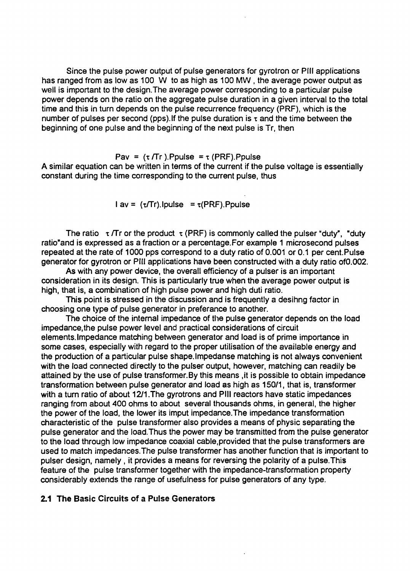Since the pulse power output of pulse generators for gyrotron or Pill applications has ranged from as low as 100 W to as high as 100 MW , the average power output as well is important to the design.The average power corresponding to a particular pulse power depends on the ratio on the aggregate pulse duration in a given interval to the total time and this in turn depends on the pulse recurrence frequency (PRF), which is the number of pulses per second (pps). If the pulse duration is  $\tau$  and the time between the beginning of one pulse and the beginning of the next pulse is Tr, then

Pav =  $(\tau/Tr)$ . Ppulse =  $\tau$  (PRF). Ppulse A similar equation can be written in terms of the current if the pulse voltage is essentially constant during the time corresponding to the current pulse, thus

 $l$  av =  $(\tau/Tr)$ . Ipulse =  $\tau$ (PRF). Ppulse

The ratio  $\tau$  /Tr or the product  $\tau$  (PRF) is commonly called the pulser "duty", "duty" ratio'and is expressed as a fraction or a percentage.For example 1 microsecond pulses repeated at the rate of 1000 pps correspond to a duty ratio of 0.001 or 0.1 per cent.Pulse generator for gyrotron or Pill applications have been constructed with a duty ratio ofO.002.

As with any power device, the overall efficiency of a pulser is an important consideration in its design. This is particularly true when the average power output is high, that is, a combination of high pulse power and high duti ratio.

This point is stressed in the discussion and is frequently a desihng factor in choosing one type of pulse generator in preferance to another.

The choice of the internal impedance of the pulse generator depends on the load impedance.the pulse power level and practical considerations of circuit elements. Impedance matching between generator and load is of prime importance in some cases, especially with regard to the proper utilisation of the available energy and the production of a particular pulse shape. Impedanse matching is not always convenient with the load connected directly to the pulser output, however, matching can readily be attained by the use of pulse transformer.By this means ,it is possible to obtain impedance transformation between pulse generator and load as high as 150/1, that is, transformer with a turn ratio of about 12/1. The gyrotrons and PIII reactors have static impedances ranging from about 400 ohms to about several thousands ohms, in general, the higher the power of the load, the lower its imput impedance.The impedance transformation characteristic of the pulse transformer also provides a means of physic separating the pulse generator and the load.Thus the power may be transmitted from the pulse generator to the load through low impedance coaxial cable.provided that the pulse transformers are used to match impedances. The pulse transformer has another function that is important to pulser design, namely , it provides a means for reversing the polarity of a pulse.This feature of the pulse transformer together with the impedance-transformation property considerably extends the range of usefulness for pulse generators of any type.

## 2.1 The Basic Circuits of a Pulse Generators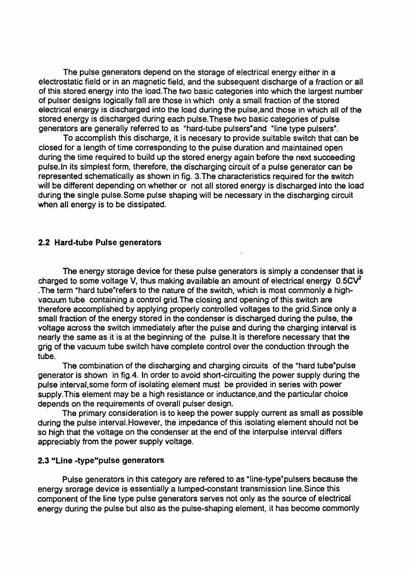The pulse generators depend on the storage of electrical energy either in a electrostatic field or in an magnetic field, and the subsequent discharge of a fraction or all of this stored energy into the load.The two basic categories into which the largest number of pulser designs logically fall are those in which only a small fraction of the stored electrical energy is discharged into the load during the pulse.and those in which all of the stored energy is discharged during each pulse.These two basic categories of pulse generators are generally referred to as "hard-tube pulsers'and "line type pulsers".

To accomplish this discharge, it is necesary to provide suitable switch that can be closed for a length of time corresponding to the pulse duration and maintained open during the time required to build up the stored energy again before the next succeeding pulse.In its simplest form, therefore, the discharging circuit of a pulse generator can be represented schematically as shown in fig. 3.The characteristics required for the switch will be different depending on whether or not all stored energy is discharged into the load during the single pulse.Some pulse shaping will be necessary in the discharging circuit when all energy is to be dissipated.

#### **2.2 Hard-tube Pulse generators**

**The** energy storage device for these pulse generators is simply a condenser that is charged to some voltage V, thus making available an amount of electrical energy  $0.5CV<sup>2</sup>$ The term "hard tube"refers to the nature of the switch, which is most commonly a highvacuum tube containing a control grid.The closing and opening of this switch are therefore accomplished by applying properly controlled voltages to the grid.Since only a small fraction of the energy stored in the condenser is discharged during the pulse, the voltage across the switch immediately after the pulse and during the charging interval is nearly the same as it is at the beginning of the pulse.lt is therefore necessary that the grig of the vacuum tube switch have complete control over the conduction through the tube.

The combination of the discharging and charging circuits of the "hard tube'pulse generator is shown in fig.4. In order to avoid short-circuiting the power supply during the pulse interval,some form of isolating element must be provided in series with power supply. This element may be a high resistance or inductance, and the particular choice depends on the requirements of overall pulser design.

The primary consideration is to keep the power supply current as small as possible during the pulse interval.However, the impedance of this isolating element should not be so high that the voltage on the condenser at the end of the interpulse interval differs appreciably from the power supply voltage.

#### **2.3 "Line -type"pulse generators**

Pulse generators in this category are refered to as "line-type'pulsers because the energy srorage device is essentially a lumped-constant transmission line.Since this component of the line type pulse generators serves not only as the source of electrical energy during the pulse but also as the pulse-shaping element, it has become commonly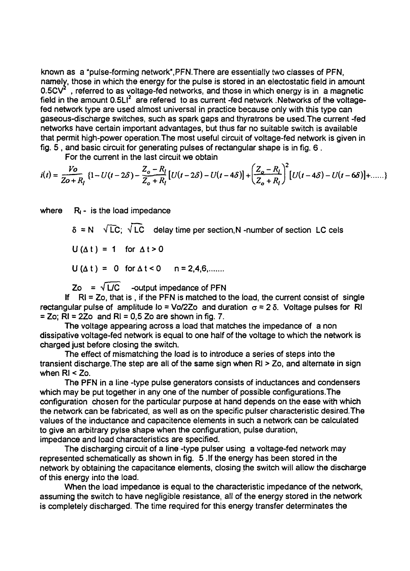known as a "pulse-forming network",PFN.There are essentially two classes of PFN, namely, those in which the energy for the pulse is stored in an electostatic field in amount 0.5CV<sup>2</sup>, referred to as voltage-fed networks, and those in which energy is in a magnetic field in the amount 0.5LI<sup>2</sup> are refered to as current -fed network .Networks of the voltagefed network type are used almost universal in practice because only with this type can gaseous-discharge switches, such as spark gaps and thyratrons be used. The current -fed networks have certain important advantages, but thus far no suitable switch is available that permit high-power operation.The most useful circuit of voltage-fed network is given in fig. 5 , and basic circuit for generating pulses of rectangular shape is in fig. 6 .

For the current in the last circuit we obtain

$$
i(t) = \frac{V_o}{Z_o + R_l} \left\{ 1 - U(t - 2\delta) - \frac{Z_o - R_l}{Z_o + R_l} \left[ U(t - 2\delta) - U(t - 4\delta) \right] + \left( \frac{Z_o - R_l}{Z_o + R_l} \right)^2 \left[ U(t - 4\delta) - U(t - 6\delta) \right] + \dots \right\}
$$

where  $R_1 -$  is the load impedance

 $\delta$  = N  $\sqrt{LC}$ ;  $\sqrt{LC}$  delay time per section, N-number of section LC cels  $U(\Delta t) = 1$  for  $\Delta t > 0$ 

 $U(\Delta t) = 0$  for  $\Delta t < 0$  n = 2,4,6,......

 $Zo = \sqrt{L/C}$  -output impedance of PFN

If  $RI = Zo$ , that is, if the PFN is matched to the load, the current consist of single rectangular pulse of amplitude lo = Vo/2Zo and duration  $\sigma = 2 \delta$ . Voltage pulses for RI  $=$  Zo; RI = 2Zo and RI = 0,5 Zo are shown in fig. 7.

The voltage appearing across a load that matches the impedance of a non dissipative voltage-fed network is equal to one half of the voltage to which the network is charged just before closing the switch.

The effect of mismatching the load is to introduce a series of steps into the transient discharge.The step are all of the same sign when Rl > Zo, and alternate in sign when Rl < Zo.

The PFN in a line -type pulse generators consists of inductances and condensers which may be put together in any one of the number of possible configurations. The configuration chosen for the particular purpose at hand depends on the ease with which the network can be fabricated, as well as on the specific pulser characteristic desired.The values of the inductance and capacitence elements in such a network can be calculated to give an arbitrary pylse shape when the configuration, pulse duration, impedance and load characteristics are specified.

The discharging circuit of a line -type pulser using a voltage-fed network may represented schematically as shown in fig. 5 .If the energy has been stored in the network by obtaining the capacitance elements, closing the switch will allow the discharge of this energy into the load.

When the load impedance is equal to the characteristic impedance of the network, assuming the switch to have negligible resistance, all of the energy stored in the network is completely discharged. The time required for this energy transfer determinates the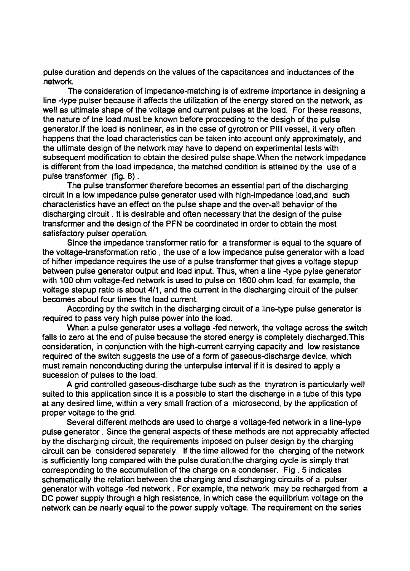pulse duration and depends on the values of the capacitances and inductances of the network.

The consideration of impedance-matching is of extreme importance in designing a line -type pulser because it affects the utilization of the energy stored on the network, as well as ultimate shape of the voltage and current pulses at the load. For these reasons, the nature of tne load must be known before proceeding to the desigh of the pulse generator.If the load is nonlinear, as in the case of gyrotron or Pill vessel, it very often happens that the load characteristics can be taken into account only approximately, and the ultimate design of the network may have to depend on experimental tests with subsequent modification to obtain the desired pulse shape.When the network impedance is different from the load impedance, the matched condition is attained by the use of a pulse transformer (fig. 8).

The pulse transformer therefore becomes an essential part of the discharging circuit in a low impedance pulse generator used with high-impedance load.and such characteristics have an effect on the pulse shape and the over-all behavior of the discharging circuit. It is desirable and often necessary that the design of the pulse transformer and the design of the PFN be coordinated in order to obtain the most satisfactory pulser operation.

Since the impedance transformer ratio for a transformer is equal to the square of the voltage-transformation ratio , the use of a low impedance pulse generator with a load of hifher impedance requires the use of a pulse transformer that gives a voltage stepup between pulse generator output and load input. Thus, when a line -type pylse generator with 100 ohm voltage-fed network is used to pulse on 1600 ohm load, for example, the voltage stepup ratio is about 4/1, and the current in the discharging circuit of the pulser becomes about four times the load current.

According by the switch in the discharging circuit of a line-type pulse generator is required to pass very high pulse power into the load.

When a pulse generator uses a voltage -fed network, the voltage across the switch falls to zero at the end of pulse because the stored energy is completely discharged.This consideration, in conjunction with the high-current carrying capacity and low resistance required of the switch suggests the use of a form of gaseous-discharge device, which must remain nonconducting during the unterpulse interval if it is desired to apply a sucession of pulses to the load.

A grid controlled gaseous-discharge tube such as the thyratron is particularly well suited to this application since it is a possible to start the discharge in a tube of this type at any desired time, within a very small fraction of a microsecond, by the application of proper voltage to the grid.

Several different methods are used to charge a voltage-fed network in a line-type pulse generator. Since the general aspects of these methods are not appreciably affected by the discharging circuit, the requirements imposed on pulser design by the charging circuit can be considered separately. If the time allowed for the charging of the network is sufficiently long compared with the pulse duration.the charging cycle is simply that corresponding to the accumulation of the charge on a condenser. Fig . 5 indicates schematically the relation between the charging and discharging circuits of a pulser generator with voltage -fed network . For example, the network may be recharged from a DC power supply through a high resistance, in which case the equilibrium voltage on the network can be nearly equal to the power supply voltage. The requirement on the series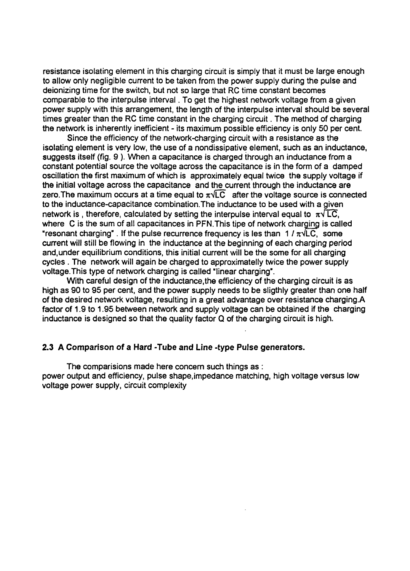resistance isolating element in this charging circuit is simply that it must be large enough to allow only negligible current to be taken from the power supply during the pulse and deionizing time for the switch, but not so large that RC time constant becomes comparable to the interpulse interval. To get the highest network voltage from a given power supply with this arrangement, the length of the interpulse interval should be several times greater than the RC time constant in the charging circuit. The method of charging the network is inherently inefficient - its maximum possible efficiency is only 50 per cent.

Since the efficiency of the network-charging circuit with a resistance as the isolating element is very low, the use of a nondissipative element, such as an inductance, suggests itself (fig. 9 ). When a capacitance is charged through an inductance from a constant potential source the voltage across the capacitance is in the form of a damped oscillation the first maximum of which is approximately equal twice the supply voltage if **the** initial voltage across the capacitance and the current through the inductance are zero. The maximum occurs at a time equal to  $\pi\sqrt{LC}$  after the voltage source is connected to the inductance-capacitance combination.The inductance to be used with a given network is, therefore, calculated by setting the interpulse interval equal to  $\pi\sqrt{LC}$ . where C is the sum of all capacitances in PFN. This tipe of network charging is called "resonant charging". If the pulse recurrence frequency is les than 1 /  $\pi\sqrt{LC}$ , some current will still be flowing in the inductance at the beginning of each charging period and,under equilibrium conditions, this initial current will be the some for all charging cycles . The network will again be charged to approximatelly twice the power supply voltage.This type of network charging is called "linear charging".

With careful design of the inductance, the efficiency of the charging circuit is as high as 90 to 95 per cent, and the power supply needs to be sligthly greater than one half of the desired network voltage, resulting in a great advantage over resistance charging.A factor of 1.9 to 1.95 between network and supply voltage can be obtained if the charging inductance is designed so that the quality factor Q of the charging circuit is high.

#### **2.3 A Comparison of a Hard -Tube and Line -type Pulse generators.**

**The** comparisions made here concern such things as :

power output and efficiency, pulse shape,impedance matching, high voltage versus low voltage power supply, circuit complexity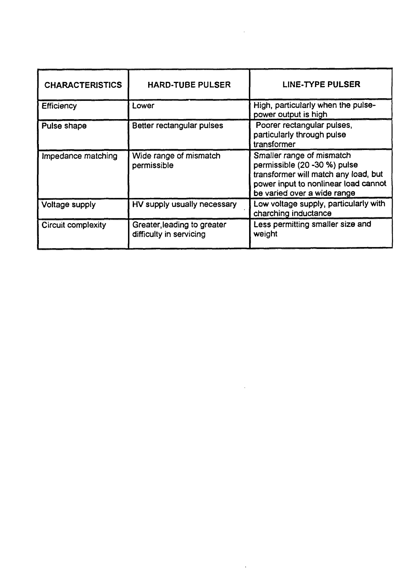| <b>CHARACTERISTICS</b>    | <b>HARD-TUBE PULSER</b>                                | LINE-TYPE PULSER                                                                                                                                                         |
|---------------------------|--------------------------------------------------------|--------------------------------------------------------------------------------------------------------------------------------------------------------------------------|
| Efficiency                | Lower                                                  | High, particularly when the pulse-<br>power output is high                                                                                                               |
| Pulse shape               | Better rectangular pulses                              | Poorer rectangular pulses,<br>particularly through pulse<br>transformer                                                                                                  |
| Impedance matching        | Wide range of mismatch<br>permissible                  | Smaller range of mismatch<br>permissible (20 -30 %) pulse<br>transformer will match any load, but<br>power input to nonlinear load cannot<br>be varied over a wide range |
| Voltage supply            | HV supply usually necessary                            | Low voltage supply, particularly with<br>charching inductance                                                                                                            |
| <b>Circuit complexity</b> | Greater, leading to greater<br>difficulty in servicing | Less permitting smaller size and<br>weight                                                                                                                               |

 $\sim 10^{-11}$ 

 $\mathcal{L}^{\text{max}}_{\text{max}}$  ,  $\mathcal{L}^{\text{max}}_{\text{max}}$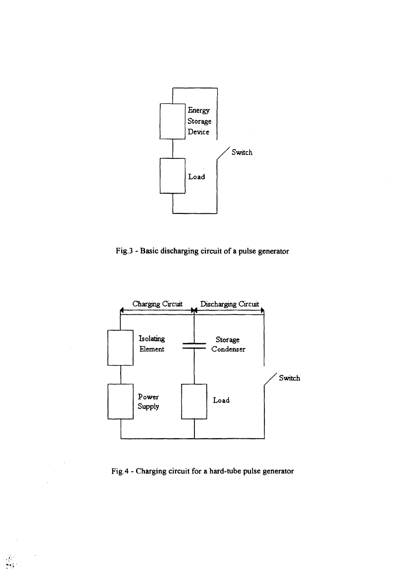

Fig.3 - Basic discharging circuit of a pulse generator



Fig.4 - Charging circuit for a hard-tube pulse generator

 $\frac{\sqrt{2}}{2}$ 

 $\bar{z}$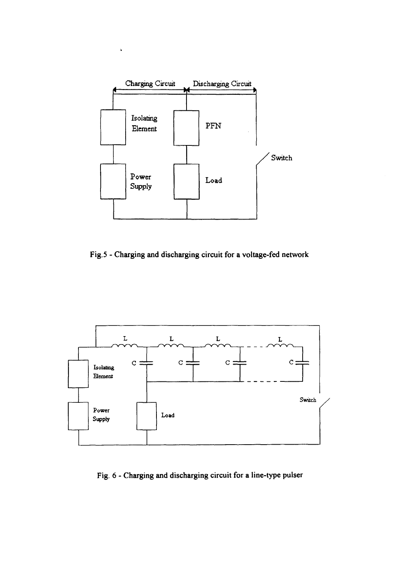

Fig.5 - Charging and discharging circuit for a voltage-fed network



Fig. 6 - Charging and discharging circuit for a line-type pulser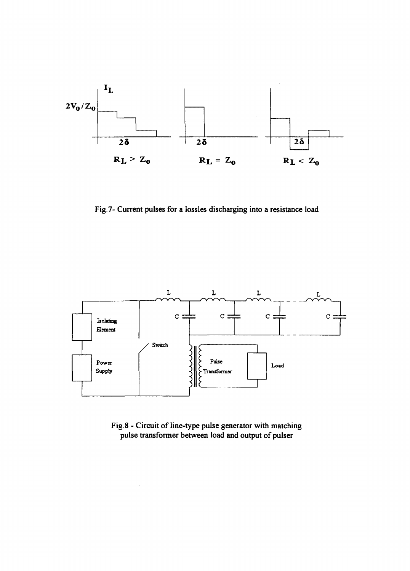

Fig. 7- Current pulses for a lossles discharging into a resistance load



Fig. 8 - Circuit of line-type pulse generator with matching pulse transformer between load and output of pulser

 $\sim$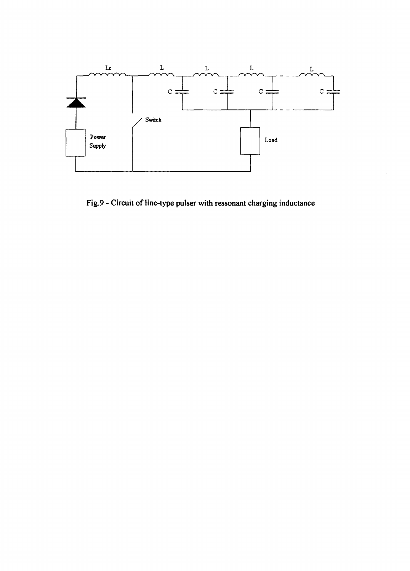

Fig.9 - Circuit of line-type pulser with ressonant charging inductance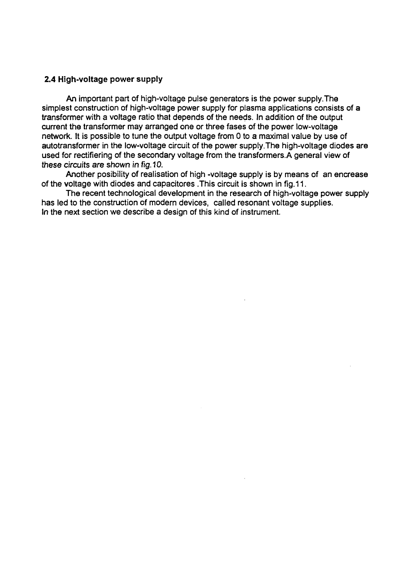## **2.4 High-voltage power supply**

**An** important part of high-voltage pulse generators is the power supply.The simplest construction of high-voltage power supply for plasma applications consists of a transformer with a voltage ratio that depends of the needs. In addition of the output current the transformer may arranged one or three fases of the power low-voltage network. It is possible to tune the output voltage from 0 to a maximal value by use of autotransformer in the low-voltage circuit of the power supply.The high-voltage diodes are used for rectifiering of the secondary voltage from the transformers.A general view of these circuits are shown in fig. 10.

Another posibility of realisation of high -voltage supply is by means of an encrease of the voltage with diodes and capacitores This circuit is shown in fig.11.

The recent technological development in the research of high-voltage power supply has led to the construction of modern devices, called resonant voltage supplies. In the next section we describe a design of this kind of instrument.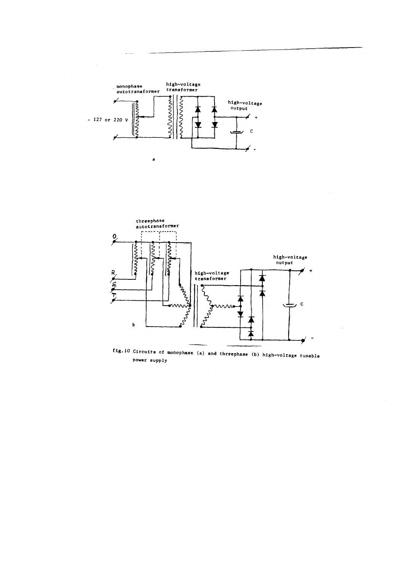



**fig.10 Circuits of monophase (a) and threephase (b) high-voltage tunable power supply**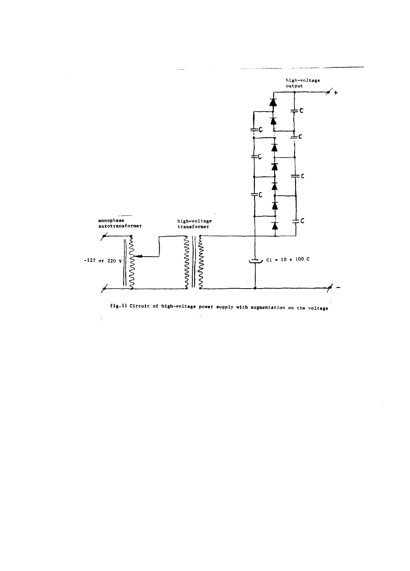

**fig.11 Circuit of high-voltage power supply with augmentation on the voltage**

 $\bar{L}$ 

 $\overline{a}$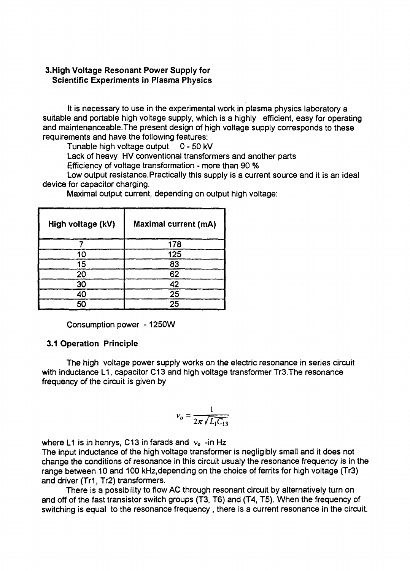# 3.High Voltage Resonant Power Supply for Scientific Experiments in Plasma Physics

It is necessary to use in the experimental work in plasma physics laboratory a suitable and portable high voltage supply, which is a highly efficient, easy for operating and maintenanceable.The present design of high voltage supply corresponds to these requirements and have the following features:

Tunable high voltage output 0 - 50 kV

Lack of heavy HV conventional transformers and another parts

Efficiency of voltage transformation - more than 90 %

Low output resistance. Practically this supply is a current source and it is an ideal device for capacitor charging.

| High voltage (kV) | <b>Maximal current (mA)</b> |
|-------------------|-----------------------------|
|                   | 178                         |
|                   | 125                         |
| ц                 |                             |
|                   | 62                          |
| חר                | 42                          |
|                   | 25                          |
|                   | 25                          |

Maximal output current, depending on output high voltage:

Consumption power-1250W

# 3.1 Operation Principle

The high voltage power supply works on the electric resonance in series circuit with inductance L1, capacitor C13 and high voltage transformer Tr3. The resonance frequency of the circuit is given by

$$
v_o = \frac{1}{2\pi \sqrt{L_1 C_{13}}}
$$

where L1 is in henrys, C13 in farads and  $v_0$  -in Hz

The input inductance of the high voltage transformer is negligibly small and it does not change the conditions of resonance in this circuit usualy the resonance frequency is in the range between 10 and 100 kHz.depending on the choice of ferrits for high voltage (Tr3) and driver (Tr1, Tr2) transformers.

There is a possibility to flow AC through resonant circuit by alternatively turn on and off of the fast transistor switch groups (T3, T6) and (T4, T5). When the frequency of switching is equal to the resonance frequency, there is a current resonance in the circuit.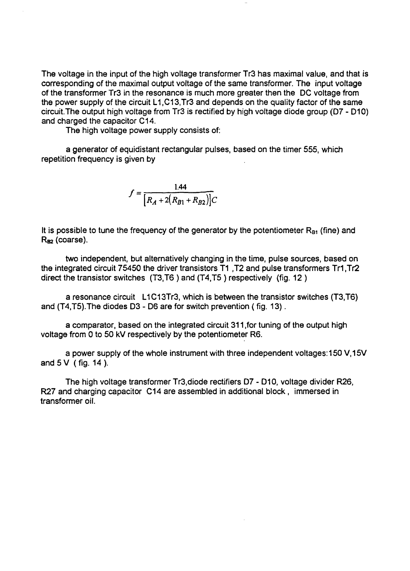The voltage in the input of the high voltage transformer Tr3 has maximal value, and that is corresponding of the maximal output voltage of the same transformer. The input voltage of the transformer Tr3 in the resonance is much more greater then the DC voltage from the power supply of the circuit L1,C13,Tr3 and depends on the quality factor of the same circuit.The output high voltage from Tr3 is rectified by high voltage diode group (D7 - D10) and charged the capacitor C14.

The high voltage power supply consists of:

a generator of equidistant rectangular pulses, based on the timer 555, which repetition frequency is given by

$$
f = \frac{1.44}{\left[R_A + 2(R_{B1} + R_{B2})\right]C}
$$

It is possible to tune the frequency of the generator by the potentiometer  $R_{\text{B1}}$  (fine) and  $R_{\text{RD}}$  (coarse).

two independent, but alternatively changing in the time, pulse sources, based on the integrated circuit 75450 the driver transistors T1 ,T2 and pulse transformers Tr1 ,Tr2 direct the transistor switches (T3.T6 ) and (T4.T5 ) respectively (fig. 12 )

a resonance circuit L1C13Tr3, which is between the transistor switches (T3.T6) and (T4,T5).The diodes D3 - D6 are for switch prevention (fig. 13).

a comparator, based on the integrated circuit 311 ,for tuning of the output high voltage from 0 to 50 kV respectively by the potentiometer R6.

a power supply of the whole instrument with three independent voltages: 150 V.15V and5V (fig. 14).

The high voltage transformer Tr3,diode rectifiers D7 - D10, voltage divider R26, R27 and charging capacitor C14 are assembled in additional block , immersed in transformer oil.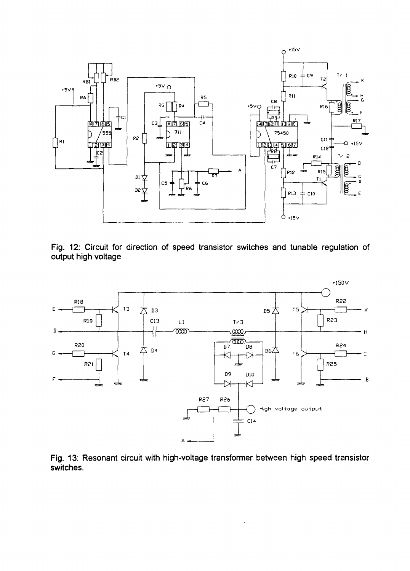

Fig. 12: Circuit for direction of speed transistor switches and tunable regulation of output high voltage



Fig. 13: Resonant circuit with high-voltage transformer between high speed transistor switches.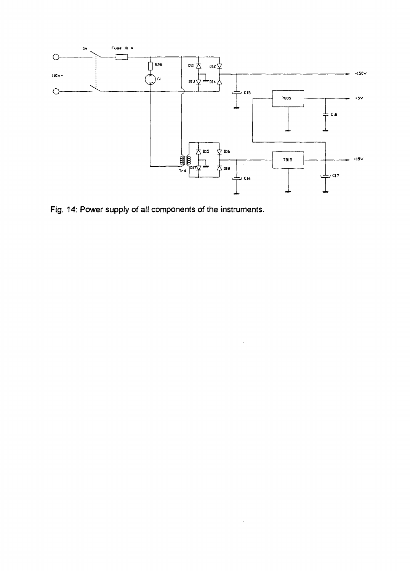

 $\bar{z}$ 

J.

Fig. 14: Power supply of all components of the instruments.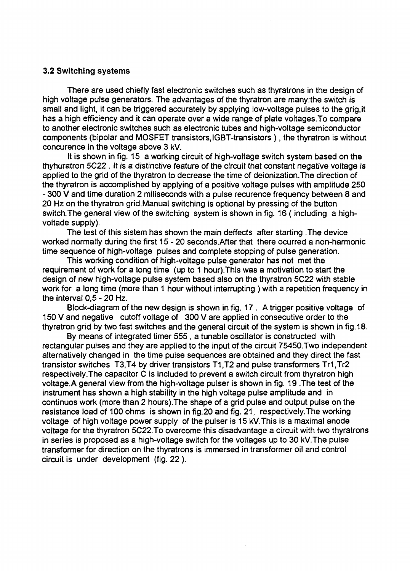#### 3.2 Switching systems

There are used chiefly fast electronic switches such as thyratrons in the design of high voltage pulse generators. The advantages of the thyratron are many.the switch is small and light, it can be triggered accurately by applying low-voltage pulses to the grig.it has a high efficiency and it can operate over a wide range of plate voltages.To compare to another electronic switches such as electronic tubes and high-voltage semiconductor components (bipolar and MOSFET transistors, IGBT-transistors ), the thyratron is without concurence in the voltage above 3 kV.

It is shown in fig. 15 a working circuit of high-voltage switch system based on the thyhuratron 5C22 . It is a distinctive feature of the circuit that constant negative voltage is applied to the grid of the thyratron to decrease the time of deionization.The direction of the thyratron is accomplished by applying of a positive voltage pulses with amplitude 250 - 300 V and time duration 2 miliseconds with a pulse recurence frequency between 8 and 20 Hz on the thyratron grid.Manual switching is optional by pressing of the button switch. The general view of the switching system is shown in fig. 16 (including a highvoltade supply).

The test of this sistem has shown the main deffects after starting. The device worked normally during the first 15-20 seconds.After that there ocurred a non-harmonic time sequence of high-voltage pulses and complete stopping of pulse generation.

This working condition of high-voltage pulse generator has not met the requirement of work for a long time (up to 1 hour).This was a motivation to start the design of new high-voltage pulse system based also on the thyratron 5C22 with stable work for a long time (more than 1 hour without interrupting ) with a repetition frequency in the interval 0,5 - 20 Hz.

Block-diagram of the new design is shown in fig. 17 . A trigger positive voltage of 150 V and negative cutoff voltage of 300 V are applied in consecutive order to the thyratron grid by two fast switches and the general circuit of the system is shown in fig. 18.

By means of integrated timer 555 , a tunable oscillator is constructed with rectangular pulses and they are applied to the input of the circuit 75450.Two independent alternatively changed in the time pulse sequences are obtained and they direct the fast transistor switches T3,T4 by driver transistors T1,T2 and pulse transformers Tr1,Tr2 respectively.The capacitor C is included to prevent a switch circuit from thyratron high voltage.A general view from the high-voltage pulser is shown in fig. 19 The test of the instrument has shown a high stability in the high voltage pulse amplitude and in continuos work (more than 2 hours). The shape of a grid pulse and output pulse on the resistance load of 100 ohms is shown in fig.20 and fig. 21, respectively.The working voltage of high voltage power supply of the pulser is 15 kVThis is a maximal anode voltage for the thyratron 5C22. To overcome this disadvantage a circuit with two thyratrons in series is proposed as a high-voltage switch for the voltages up to 30 kV.The pulse transformer for direction on the thyratrons is immersed in transformer oil and control circuit is under development (fig. 22 ).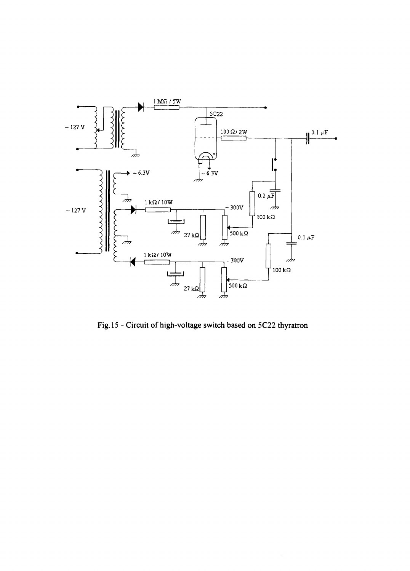

Fig. 15 - Circuit of high-voltage switch based on 5C22 thyratron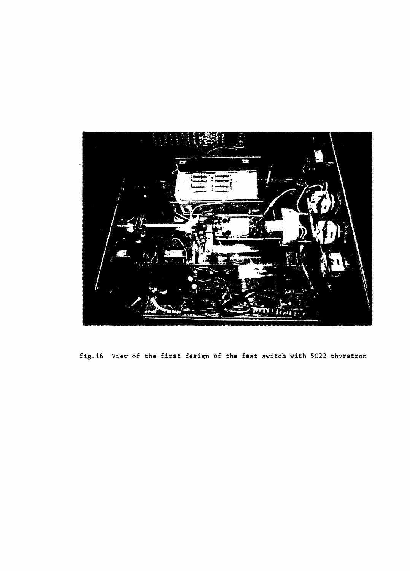

fig.16 View of the first design of the fast switch with 5C22 thyratron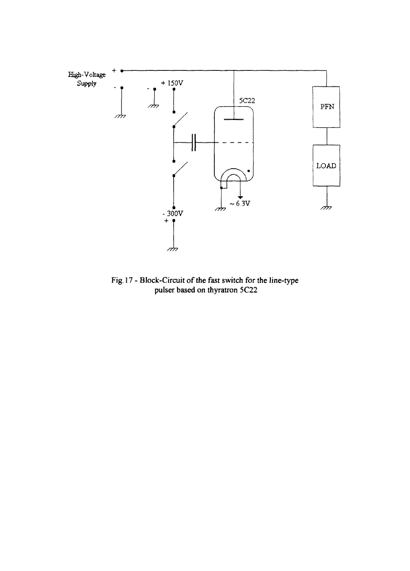

Fig. 17 - Block-Circuit of the fast switch for the line-type pulser based on thyratron 5C22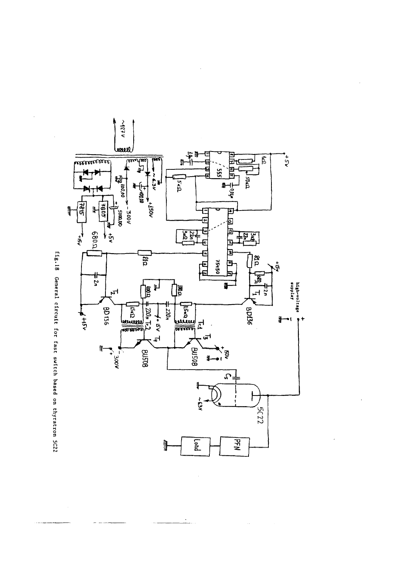

 $\frac{1}{2}$ 

 $\bar{\nu}$ 

 $\bar{z}$ 

fig.18 General circuit for fast switch based on thyratron 5C22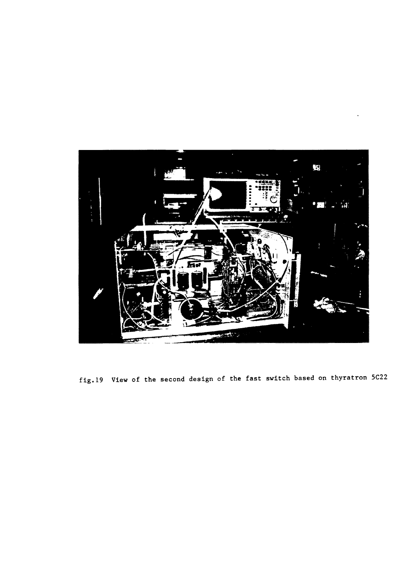

fig.19 View of the second design of the fast switch based on thyratron 5C22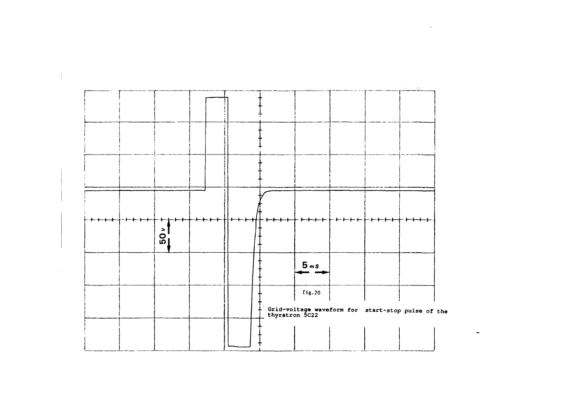

 $\blacksquare$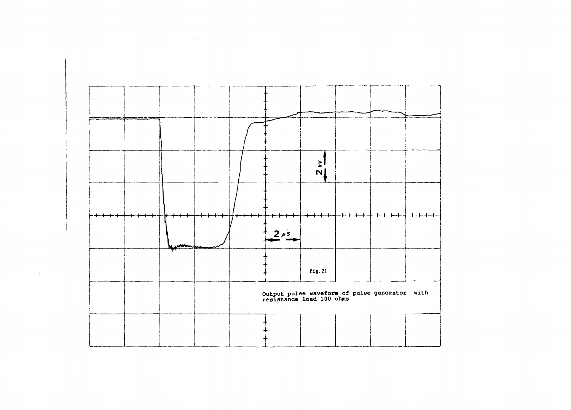

 $\sim 10^6$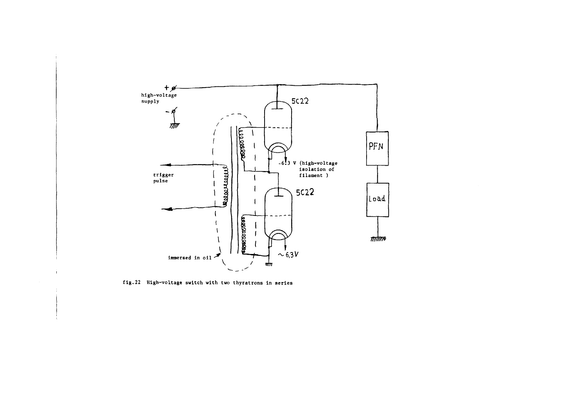

**fig.22 High-voltage switch with two thyratrons In series**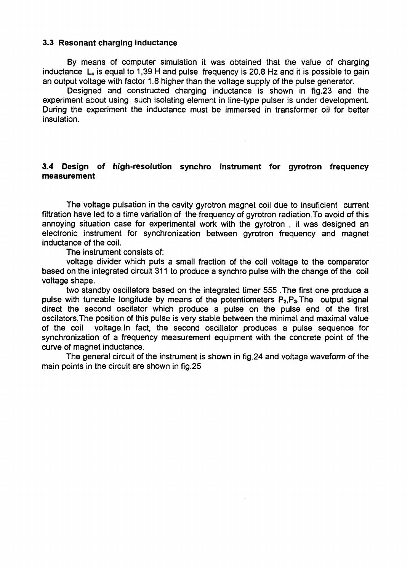#### **3.3 Resonant charging inductance**

**By** means of computer simulation it was obtained that the value of charging inductance  $L<sub>c</sub>$  is equal to 1,39 H and pulse frequency is 20.8 Hz and it is possible to gain an output voltage with factor 1.8 higher than the voltage supply of the pulse generator.

Designed and constructed charging inductance is shown in fig.23 and the experiment about using such isolating element in line-type pulser is under development. During the experiment the inductance must be immersed in transformer oil for better insulation.

## **3.4 Design of high-resolution synchro instrument for gyrotron frequency measurement**

The voltage pulsation in the cavity gyrotron magnet coil due to insuficient current filtration have led to a time variation of the frequency of gyrotron radiation.To avoid of this annoying situation case for experimental work with the gyrotron , it was designed an electronic instrument for synchronization between gyrotron frequency and magnet inductance of the coil.

The instrument consists of:

voltage divider which puts a small fraction of the coil voltage to the comparator based on the integrated circuit 311 to produce a synchro pulse with the change of the coil voltage shape.

two standby oscillators based on the integrated timer 555 .The first one produce a pulse with tuneable longitude by means of the potentiometers  $P_2, P_3$ . The output signal direct the second oscilator which produce a pulse on the pulse end of the first oscilators.The position of this pulse is very stable between the minimal and maximal value of the coil voltage. In fact, the second oscillator produces a pulse sequence for synchronization of a frequency measurement equipment with the concrete point of the curve of magnet inductance.

The general circuit of the instrument is shown in fig.24 and voltage waveform of the main points in the circuit are shown in fig.25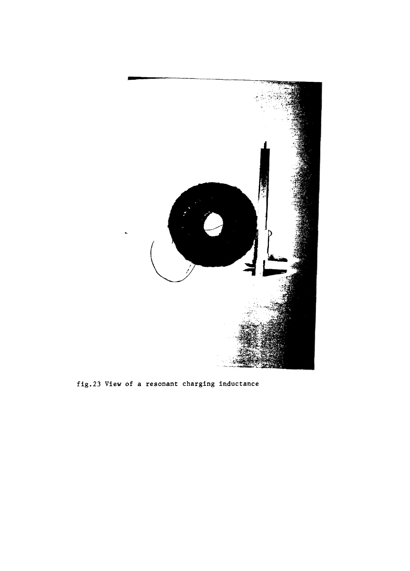

fig.23 View of a resonant charging inductance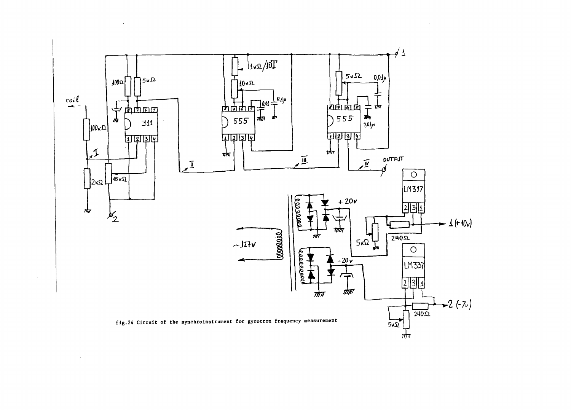

 $\sim$